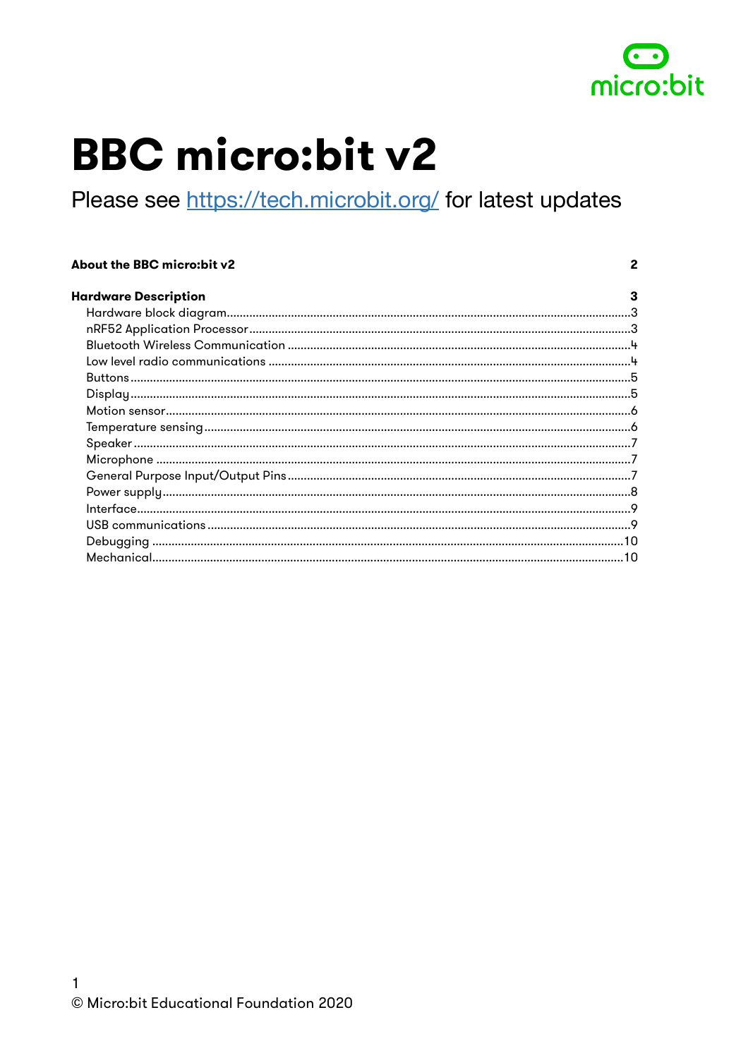

 $\mathbf{2}$ 

# **BBC micro:bit v2**

Please see https://tech.microbit.org/ for latest updates

#### About the BBC micro:bit v2

| <b>Hardware Description</b> |  |
|-----------------------------|--|
|                             |  |
|                             |  |
|                             |  |
|                             |  |
|                             |  |
|                             |  |
|                             |  |
|                             |  |
|                             |  |
|                             |  |
|                             |  |
|                             |  |
|                             |  |
|                             |  |
|                             |  |
|                             |  |
|                             |  |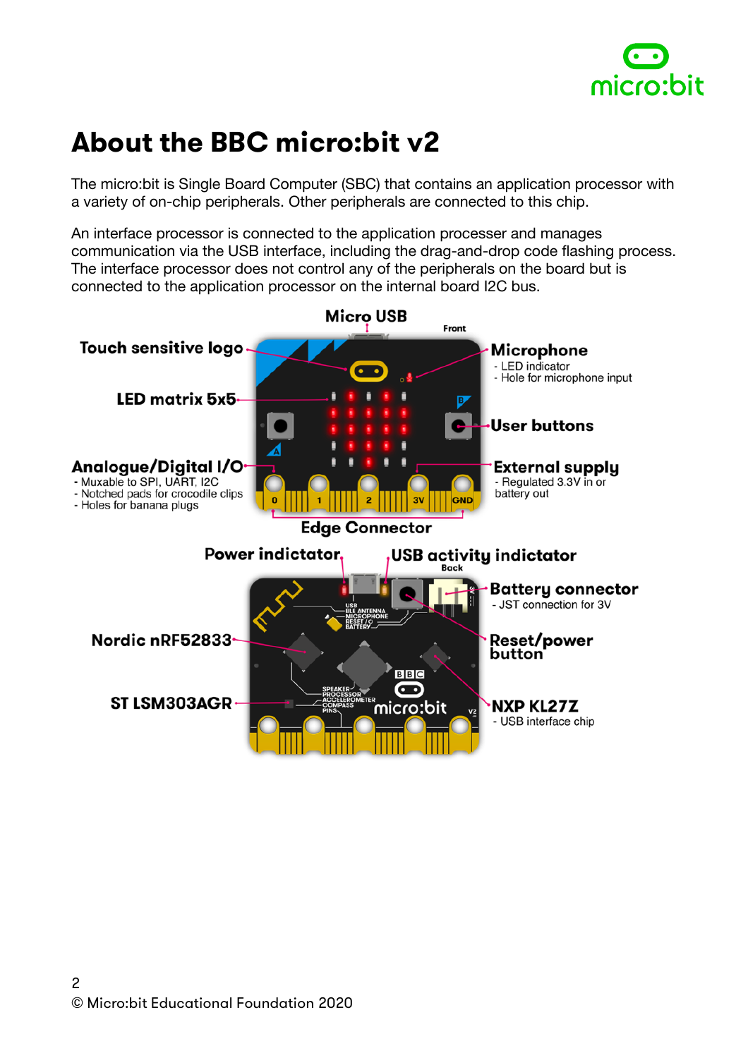

## <span id="page-1-0"></span>**About the BBC micro:bit v2**

The micro:bit is Single Board Computer (SBC) that contains an application processor with a variety of on-chip peripherals. Other peripherals are connected to this chip.

An interface processor is connected to the application processer and manages communication via the USB interface, including the drag-and-drop code flashing process. The interface processor does not control any of the peripherals on the board but is connected to the application processor on the internal board I2C bus.

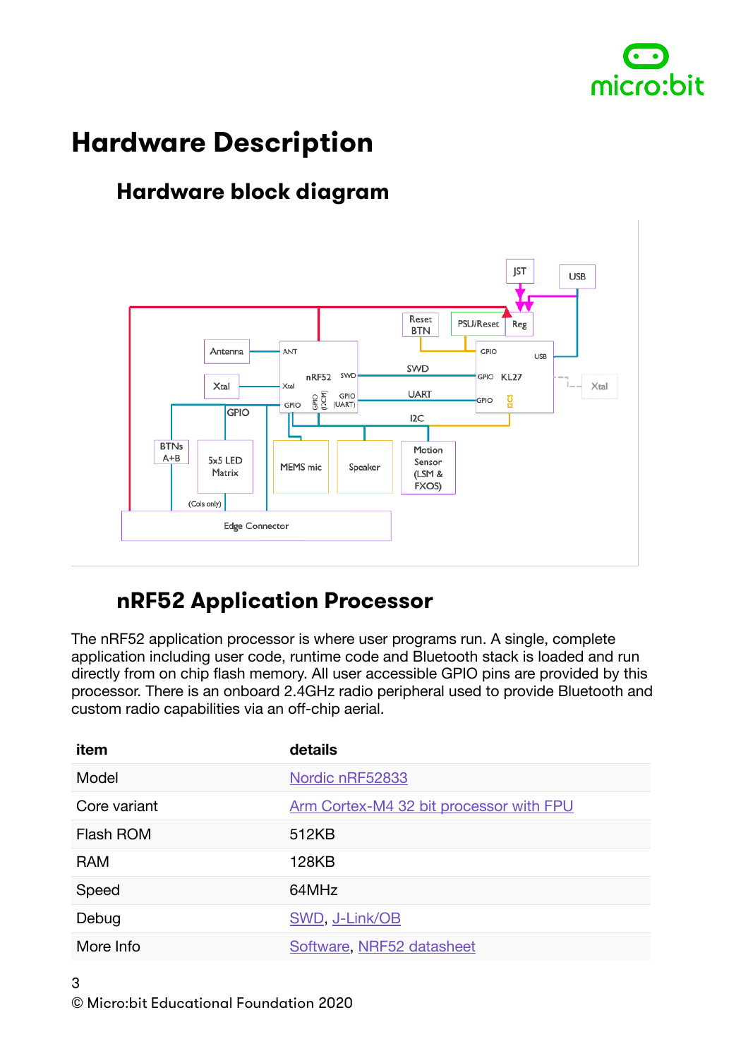

## <span id="page-2-0"></span>**Hardware Description**

#### <span id="page-2-1"></span>**Hardware block diagram**



#### <span id="page-2-2"></span>**nRF52 Application Processor**

The nRF52 application processor is where user programs run. A single, complete application including user code, runtime code and Bluetooth stack is loaded and run directly from on chip flash memory. All user accessible GPIO pins are provided by this processor. There is an onboard 2.4GHz radio peripheral used to provide Bluetooth and custom radio capabilities via an off-chip aerial.

| item         | details                                 |
|--------------|-----------------------------------------|
| Model        | Nordic nRF52833                         |
| Core variant | Arm Cortex-M4 32 bit processor with FPU |
| Flash ROM    | 512KB                                   |
| <b>RAM</b>   | 128KB                                   |
| Speed        | 64MHz                                   |
| Debug        | SWD, J-Link/OB                          |
| More Info    | Software, NRF52 datasheet               |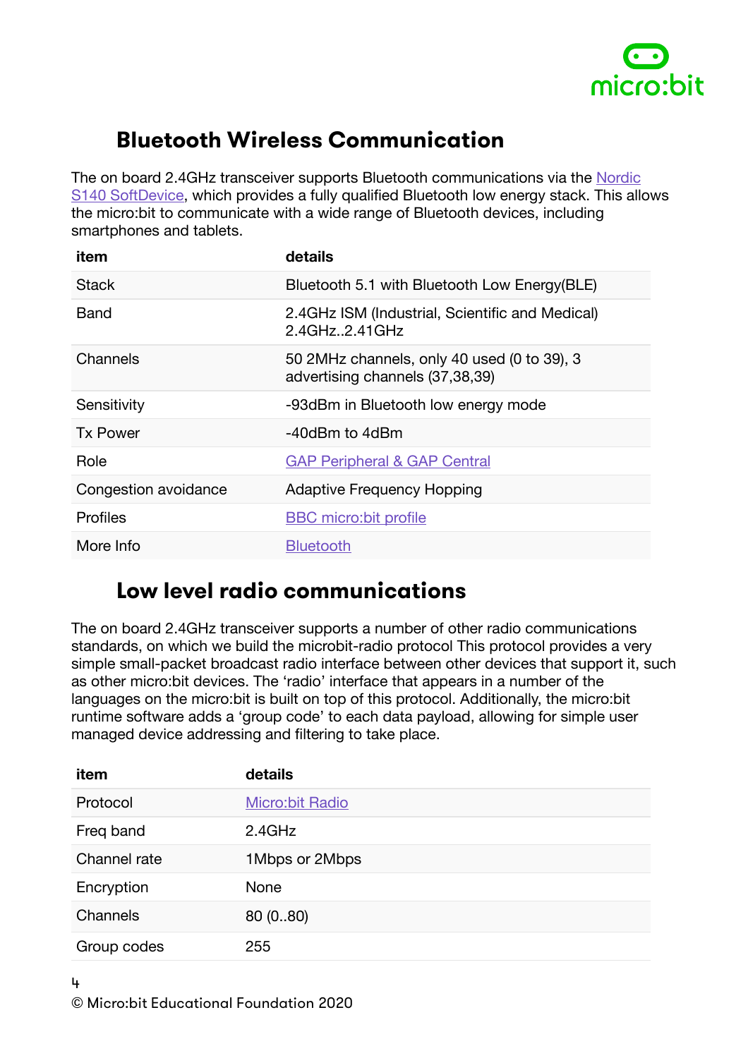

#### <span id="page-3-0"></span>**Bluetooth Wireless Communication**

The on board 2.4GHz transceiver supports Bluetooth communications via the [Nordic](https://www.nordicsemi.com/Software-and-tools/Software/S113)  [S140 SoftDevice](https://www.nordicsemi.com/Software-and-tools/Software/S113), which provides a fully qualified Bluetooth low energy stack. This allows the micro:bit to communicate with a wide range of Bluetooth devices, including smartphones and tablets.

| item                 | details                                                                        |
|----------------------|--------------------------------------------------------------------------------|
| <b>Stack</b>         | Bluetooth 5.1 with Bluetooth Low Energy(BLE)                                   |
| Band                 | 2.4GHz ISM (Industrial, Scientific and Medical)<br>2.4GHz2.41GHz               |
| Channels             | 50 2MHz channels, only 40 used (0 to 39), 3<br>advertising channels (37,38,39) |
| Sensitivity          | -93dBm in Bluetooth low energy mode                                            |
| <b>Tx Power</b>      | -40dBm to 4dBm                                                                 |
| Role                 | <b>GAP Peripheral &amp; GAP Central</b>                                        |
| Congestion avoidance | <b>Adaptive Frequency Hopping</b>                                              |
| <b>Profiles</b>      | <b>BBC</b> micro: bit profile                                                  |
| More Info            | <b>Bluetooth</b>                                                               |

#### <span id="page-3-1"></span>**Low level radio communications**

The on board 2.4GHz transceiver supports a number of other radio communications standards, on which we build the microbit-radio protocol This protocol provides a very simple small-packet broadcast radio interface between other devices that support it, such as other micro:bit devices. The 'radio' interface that appears in a number of the languages on the micro:bit is built on top of this protocol. Additionally, the micro:bit runtime software adds a 'group code' to each data payload, allowing for simple user managed device addressing and filtering to take place.

| item         | details                |
|--------------|------------------------|
| Protocol     | <b>Micro:bit Radio</b> |
| Freq band    | 2.4GHz                 |
| Channel rate | 1Mbps or 2Mbps         |
| Encryption   | None                   |
| Channels     | 80(080)                |
| Group codes  | 255                    |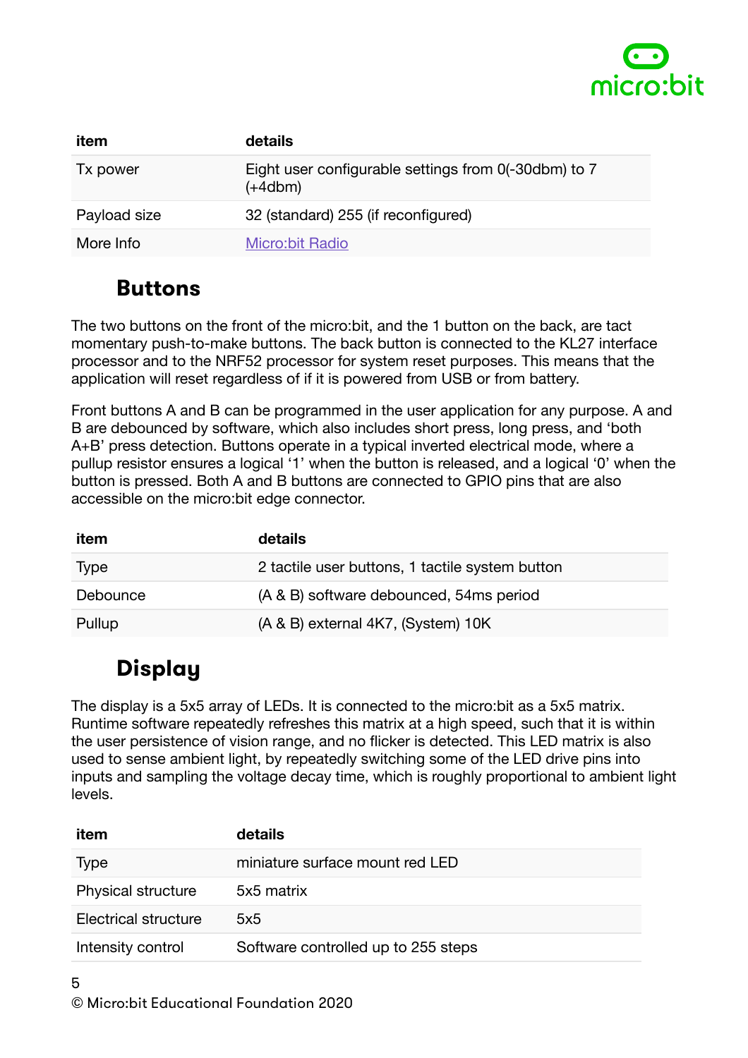

| item         | <b>details</b>                                                    |
|--------------|-------------------------------------------------------------------|
| Tx power     | Eight user configurable settings from 0(-30dbm) to 7<br>$(+4dbm)$ |
| Payload size | 32 (standard) 255 (if reconfigured)                               |
| More Info    | <b>Micro:bit Radio</b>                                            |

#### <span id="page-4-0"></span>**Buttons**

The two buttons on the front of the micro:bit, and the 1 button on the back, are tact momentary push-to-make buttons. The back button is connected to the KL27 interface processor and to the NRF52 processor for system reset purposes. This means that the application will reset regardless of if it is powered from USB or from battery.

Front buttons A and B can be programmed in the user application for any purpose. A and B are debounced by software, which also includes short press, long press, and 'both A+B' press detection. Buttons operate in a typical inverted electrical mode, where a pullup resistor ensures a logical '1' when the button is released, and a logical '0' when the button is pressed. Both A and B buttons are connected to GPIO pins that are also accessible on the micro:bit edge connector.

| item        | details                                         |
|-------------|-------------------------------------------------|
| <b>Type</b> | 2 tactile user buttons, 1 tactile system button |
| Debounce    | (A & B) software debounced, 54ms period         |
| Pullup      | (A & B) external 4K7, (System) 10K              |

## <span id="page-4-1"></span>**Display**

The display is a 5x5 array of LEDs. It is connected to the micro:bit as a 5x5 matrix. Runtime software repeatedly refreshes this matrix at a high speed, such that it is within the user persistence of vision range, and no flicker is detected. This LED matrix is also used to sense ambient light, by repeatedly switching some of the LED drive pins into inputs and sampling the voltage decay time, which is roughly proportional to ambient light levels.

| item                        | details                             |
|-----------------------------|-------------------------------------|
| <b>Type</b>                 | miniature surface mount red LED     |
| <b>Physical structure</b>   | 5x5 matrix                          |
| <b>Electrical structure</b> | 5x5                                 |
| Intensity control           | Software controlled up to 255 steps |
|                             |                                     |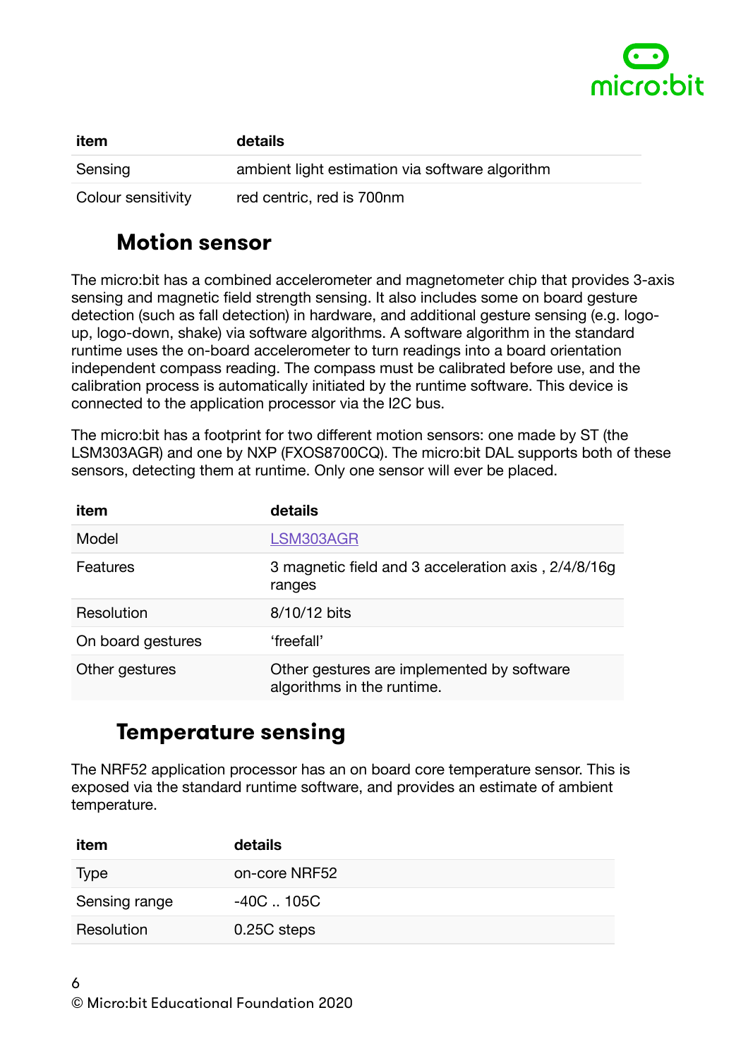

| item               | details                                         |
|--------------------|-------------------------------------------------|
| Sensing            | ambient light estimation via software algorithm |
| Colour sensitivity | red centric, red is 700nm                       |

#### <span id="page-5-0"></span>**Motion sensor**

The micro:bit has a combined accelerometer and magnetometer chip that provides 3-axis sensing and magnetic field strength sensing. It also includes some on board gesture detection (such as fall detection) in hardware, and additional gesture sensing (e.g. logoup, logo-down, shake) via software algorithms. A software algorithm in the standard runtime uses the on-board accelerometer to turn readings into a board orientation independent compass reading. The compass must be calibrated before use, and the calibration process is automatically initiated by the runtime software. This device is connected to the application processor via the I2C bus.

The micro:bit has a footprint for two different motion sensors: one made by ST (the LSM303AGR) and one by NXP (FXOS8700CQ). The micro:bit DAL supports both of these sensors, detecting them at runtime. Only one sensor will ever be placed.

| item              | details                                                                  |
|-------------------|--------------------------------------------------------------------------|
| Model             | LSM303AGR                                                                |
| Features          | 3 magnetic field and 3 acceleration axis, 2/4/8/16g<br>ranges            |
| Resolution        | 8/10/12 bits                                                             |
| On board gestures | 'freefall'                                                               |
| Other gestures    | Other gestures are implemented by software<br>algorithms in the runtime. |

#### <span id="page-5-1"></span>**Temperature sensing**

The NRF52 application processor has an on board core temperature sensor. This is exposed via the standard runtime software, and provides an estimate of ambient temperature.

| item          | details       |
|---------------|---------------|
| Type          | on-core NRF52 |
| Sensing range | -40C  105C    |
| Resolution    | 0.25C steps   |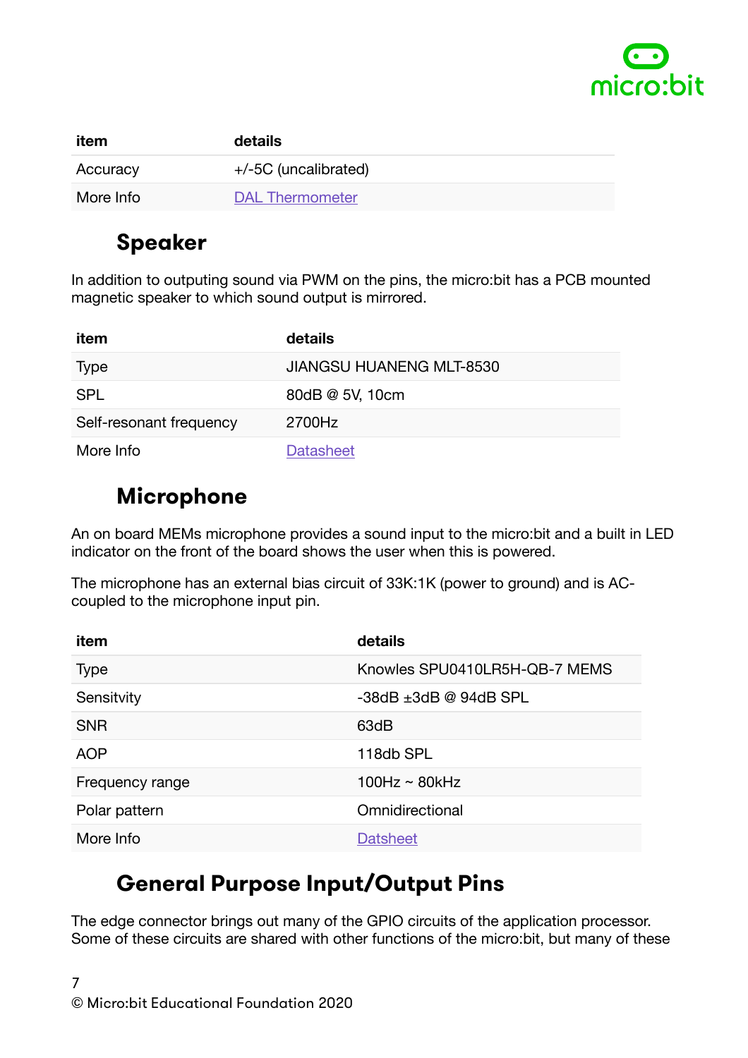

| item      | details                |
|-----------|------------------------|
| Accuracy  | $+/-5C$ (uncalibrated) |
| More Info | <b>DAL Thermometer</b> |

#### <span id="page-6-0"></span>**Speaker**

In addition to outputing sound via PWM on the pins, the micro:bit has a PCB mounted magnetic speaker to which sound output is mirrored.

| item                    | details                         |
|-------------------------|---------------------------------|
| Type                    | <b>JIANGSU HUANENG MLT-8530</b> |
| <b>SPL</b>              | 80dB @ 5V, 10cm                 |
| Self-resonant frequency | 2700Hz                          |
| More Info               | <b>Datasheet</b>                |

#### <span id="page-6-1"></span>**Microphone**

An on board MEMs microphone provides a sound input to the micro:bit and a built in LED indicator on the front of the board shows the user when this is powered.

The microphone has an external bias circuit of 33K:1K (power to ground) and is ACcoupled to the microphone input pin.

| item            | details                        |
|-----------------|--------------------------------|
| <b>Type</b>     | Knowles SPU0410LR5H-QB-7 MEMS  |
| Sensitvity      | $-38$ dB $\pm 3$ dB @ 94dB SPL |
| <b>SNR</b>      | 63dB                           |
| <b>AOP</b>      | 118db SPL                      |
| Frequency range | $100Hz \sim 80kHz$             |
| Polar pattern   | Omnidirectional                |
| More Info       | <b>Datsheet</b>                |

### <span id="page-6-2"></span>**General Purpose Input/Output Pins**

The edge connector brings out many of the GPIO circuits of the application processor. Some of these circuits are shared with other functions of the micro:bit, but many of these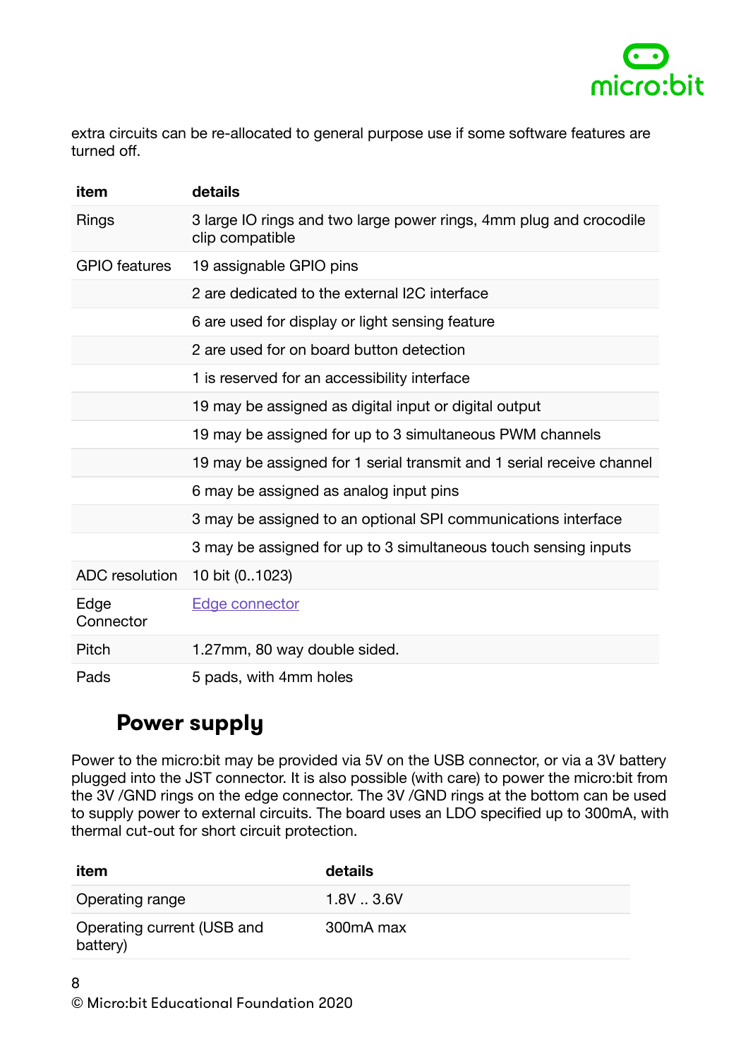

extra circuits can be re-allocated to general purpose use if some software features are turned off.

| item                 | details                                                                               |
|----------------------|---------------------------------------------------------------------------------------|
| <b>Rings</b>         | 3 large IO rings and two large power rings, 4mm plug and crocodile<br>clip compatible |
| <b>GPIO</b> features | 19 assignable GPIO pins                                                               |
|                      | 2 are dedicated to the external I2C interface                                         |
|                      | 6 are used for display or light sensing feature                                       |
|                      | 2 are used for on board button detection                                              |
|                      | 1 is reserved for an accessibility interface                                          |
|                      | 19 may be assigned as digital input or digital output                                 |
|                      | 19 may be assigned for up to 3 simultaneous PWM channels                              |
|                      | 19 may be assigned for 1 serial transmit and 1 serial receive channel                 |
|                      | 6 may be assigned as analog input pins                                                |
|                      | 3 may be assigned to an optional SPI communications interface                         |
|                      | 3 may be assigned for up to 3 simultaneous touch sensing inputs                       |
| ADC resolution       | 10 bit (01023)                                                                        |
| Edge<br>Connector    | <b>Edge connector</b>                                                                 |
| Pitch                | 1.27mm, 80 way double sided.                                                          |
| Pads                 | 5 pads, with 4mm holes                                                                |

#### <span id="page-7-0"></span>**Power supply**

Power to the micro:bit may be provided via 5V on the USB connector, or via a 3V battery plugged into the JST connector. It is also possible (with care) to power the micro:bit from the 3V /GND rings on the edge connector. The 3V /GND rings at the bottom can be used to supply power to external circuits. The board uses an LDO specified up to 300mA, with thermal cut-out for short circuit protection.

| item                                   | details   |
|----------------------------------------|-----------|
| Operating range                        | 1.8V3.6V  |
| Operating current (USB and<br>battery) | 300mA max |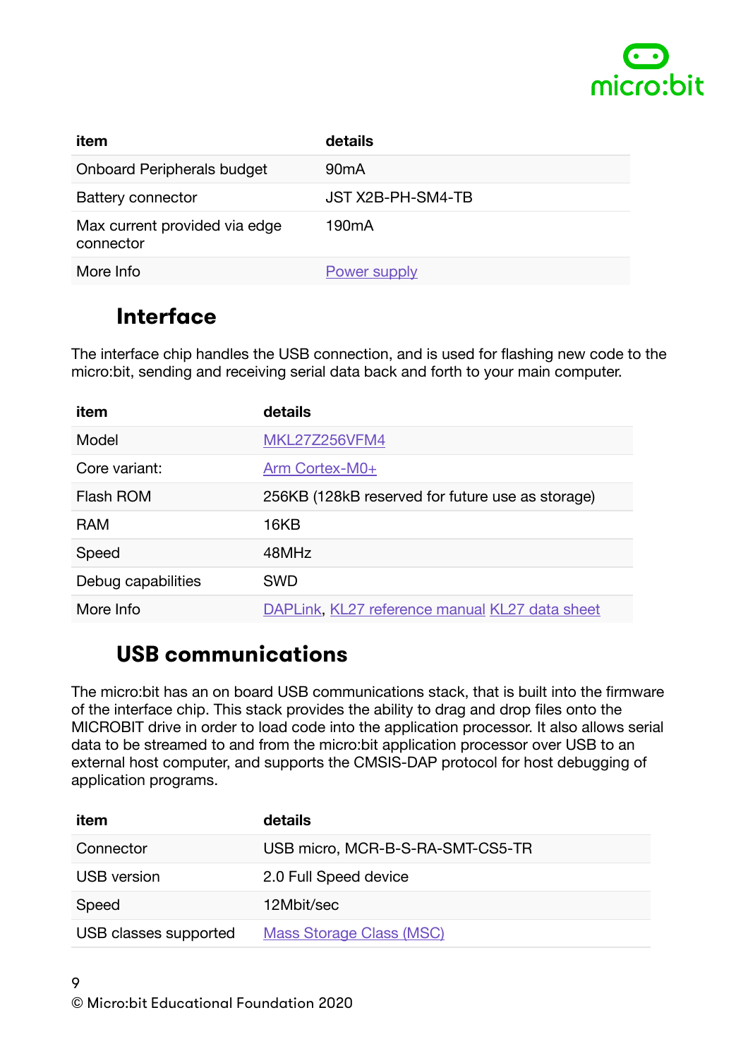

| item                                       | details             |
|--------------------------------------------|---------------------|
| <b>Onboard Peripherals budget</b>          | 90 <sub>m</sub> A   |
| <b>Battery connector</b>                   | JST X2B-PH-SM4-TB   |
| Max current provided via edge<br>connector | 190 <sub>m</sub> A  |
| More Info                                  | <b>Power supply</b> |

#### <span id="page-8-0"></span>**Interface**

The interface chip handles the USB connection, and is used for flashing new code to the micro:bit, sending and receiving serial data back and forth to your main computer.

| item               | details                                          |
|--------------------|--------------------------------------------------|
| Model              | <b>MKL27Z256VFM4</b>                             |
| Core variant:      | Arm Cortex-M0+                                   |
| Flash ROM          | 256KB (128kB reserved for future use as storage) |
| <b>RAM</b>         | 16KB                                             |
| Speed              | 48MHz                                            |
| Debug capabilities | <b>SWD</b>                                       |
| More Info          | DAPLink, KL27 reference manual KL27 data sheet   |

#### <span id="page-8-1"></span>**USB communications**

The micro:bit has an on board USB communications stack, that is built into the firmware of the interface chip. This stack provides the ability to drag and drop files onto the MICROBIT drive in order to load code into the application processor. It also allows serial data to be streamed to and from the micro:bit application processor over USB to an external host computer, and supports the CMSIS-DAP protocol for host debugging of application programs.

| item                  | details                          |
|-----------------------|----------------------------------|
| Connector             | USB micro, MCR-B-S-RA-SMT-CS5-TR |
| <b>USB</b> version    | 2.0 Full Speed device            |
| Speed                 | 12Mbit/sec                       |
| USB classes supported | <b>Mass Storage Class (MSC)</b>  |